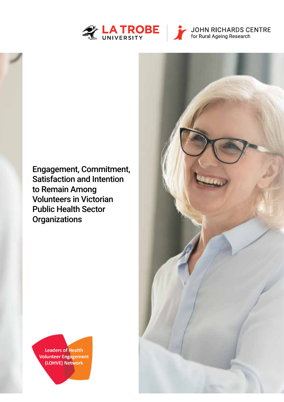



Engagement, Commitment, Satisfaction and Intention to Remain Among Volunteers in Victorian Public Health Sector **Organizations** 



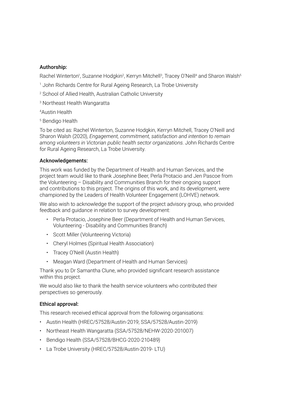### Authorship:

Rachel Winterton<sup>1</sup>, Suzanne Hodgkin<sup>2</sup>, Kerryn Mitchell<sup>3</sup>, Tracey O'Neill<sup>4</sup> and Sharon Walsh<sup>5</sup>

- <sup>1</sup> John Richards Centre for Rural Ageing Research, La Trobe University
- 2 School of Allied Health, Australian Catholic University
- 3 Northeast Health Wangaratta
- 4Austin Health
- 5 Bendigo Health

To be cited as: Rachel Winterton, Suzanne Hodgkin, Kerryn Mitchell, Tracey O'Neill and Sharon Walsh (2020), *Engagement, commitment, satisfaction and intention to remain among volunteers in Victorian public health sector organizations*. John Richards Centre for Rural Ageing Research, La Trobe University.

### Acknowledgements:

This work was funded by the Department of Health and Human Services, and the project team would like to thank Josephine Beer, Perla Protacio and Jen Pascoe from the Volunteering – Disability and Communities Branch for their ongoing support and contributions to this project. The origins of this work, and its development, were championed by the Leaders of Health Volunteer Engagement (LOHVE) network.

We also wish to acknowledge the support of the project advisory group, who provided feedback and guidance in relation to survey development:

- Perla Protacio, Josephine Beer (Department of Health and Human Services, Volunteering - Disability and Communities Branch)
- Scott Miller (Volunteering Victoria)
- Cheryl Holmes (Spiritual Health Association)
- Tracey O'Neill (Austin Health)
- Meagan Ward (Department of Health and Human Services)

Thank you to Dr Samantha Clune, who provided significant research assistance within this project.

We would also like to thank the health service volunteers who contributed their perspectives so generously.

### Ethical approval:

This research received ethical approval from the following organisations:

- Austin Health (HREC/57528/Austin-2019; SSA/57528/Austin-2019)
- Northeast Health Wangaratta (SSA/57528/NEHW-2020-201007)
- Bendigo Health (SSA/57528/BHCG-2020-210489)
- La Trobe University (HREC/57528/Austin-2019- LTU)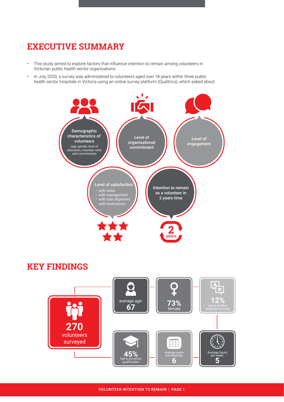# **EXECUTIVE SUMMARY**

- This study aimed to explore factors that influence intention to remain among volunteers in Victorian public health sector organizations.
- In July 2020, a survey was administered to volunteers aged over 18 years within three public health sector hospitals in Victoria using an online survey platform (Qualtrics), which asked about:



# **KEY FINDINGS**

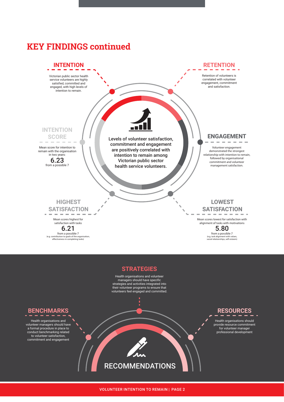# **KEY FINDINGS continued**



#### **STRATEGIES**

Health organisations and volunteer managers should have specific strategies and activities integrated into their volunteer programs to ensure that volunteers feel engaged and committed.

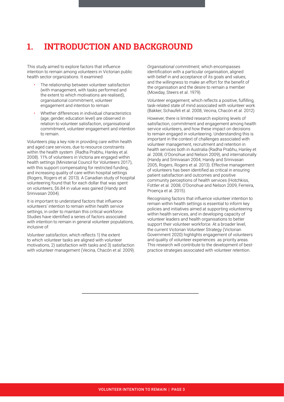# **1. INTRODUCTION AND BACKGROUND**

This study aimed to explore factors that influence intention to remain among volunteers in Victorian public health sector organizations. It examined:

- The relationship between volunteer satisfaction (with management, with tasks performed and the extent to which motivations are realised), organisational commitment, volunteer engagement and intention to remain
- Whether differences in individual characteristics (age, gender, education level) are observed in relation to volunteer satisfaction, organisational commitment, volunteer engagement and intention to remain.

Volunteers play a key role in providing care within health and aged care services, due to resource constraints within the health system (Radha Prabhu, Hanley et al. 2008). 11% of volunteers in Victoria are engaged within health settings (Ministerial Council for Volunteers 2017), with this support compensating for restricted funding. and increasing quality of care within hospital settings (Rogers, Rogers et al. 2013). A Canadian study of hospital volunteering found that for each dollar that was spent on volunteers, \$6.84 in value was gained (Handy and Srinivasan 2004).

It is important to understand factors that influence volunteers' intention to remain within health service settings, in order to maintain this critical workforce. Studies have identified a series of factors associated with intention to remain in general volunteer populations, inclusive of:

*Volunteer satisfaction*, which reflects 1) the extent to which volunteer tasks are aligned with volunteer motivations, 2) satisfaction with tasks and 3) satisfaction with volunteer management (Vecina, Chacón et al. 2009).

*Organisational commitment,* which encompasses identification with a particular organisation, aligned with belief in and acceptance of its goals and values, and the willingness to make an effort for the benefit of the organisation and the desire to remain a member (Mowday, Steers et al. 1979).

*Volunteer engagement,* which reflects a positive, fulfilling, task-related state of mind associated with volunteer work (Bakker, Schaufeli et al. 2008, Vecina, Chacón et al. 2012)

However, there is limited research exploring levels of satisfaction, commitment and engagement among health service volunteers, and how these impact on decisions to remain engaged in volunteering. Understanding this is important in the context of challenges associated with volunteer management, recruitment and retention in health services both in Australia (Radha Prabhu, Hanley et al. 2008, O'Donohue and Nelson 2009), and internationally (Handy and Srinivasan 2004, Handy and Srinivasan 2005, Rogers, Rogers et al. 2013). Effective management of volunteers has been identified as critical in ensuring patient satisfaction and outcomes and positive community perceptions of health services (Hotchkiss, Fottler et al. 2008, O'Donohue and Nelson 2009, Ferreira, Proença et al. 2015).

Recognising factors that influence volunteer intention to remain within health settings is essential to inform key policies and initiatives aimed at supporting volunteering within health services, and in developing capacity of volunteer leaders and health organisations to better support their volunteer workforce. At a broader level, the current Victorian Volunteer Strategy (Victorian Government 2020) highlights engagement of volunteers and quality of volunteer experiences as priority areas. This research will contribute to the development of bestpractice strategies associated with volunteer retention.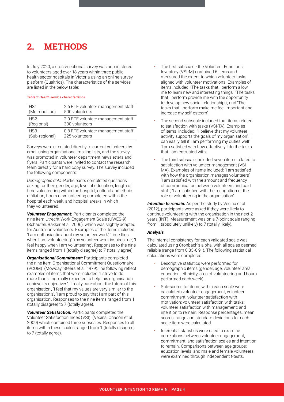# **2. METHODS**

In July 2020, a cross-sectional survey was administered to volunteers aged over 18 years within three public health sector hospitals in Victoria using an online survey platform (Qualtrics). The characteristics of the services are listed in the below table:

#### *Table 1: Health service characteristics*

| HS1             | 2.6 FTE volunteer management staff |
|-----------------|------------------------------------|
| (Metropolitan)  | 500 volunteers                     |
| HS <sub>2</sub> | 2.0 FTE volunteer management staff |
| (Regional)      | 300 volunteers                     |
| HS3             | 0.8 FTE volunteer management staff |
| (Sub-regional)  | 225 volunteers                     |

Surveys were circulated directly to current volunteers by email using organisational mailing lists, and the survey was promoted in volunteer department newsletters and flyers. Participants were invited to contact the research team directly for a hard copy survey. The survey included the following components:

*Demographic data:* Participants completed questions asking for their gender, age, level of education, length of time volunteering within the hospital, cultural and ethnic affiliation, hours of volunteering completed within the hospital each week, and hospital area/s in which they volunteered.

*Volunteer Engagement:* Participants completed the nine item Utrecht Work Engagement Scale (UWES-9) (Schaufeli, Bakker et al. 2006), which was slightly adapted for Australian volunteers. Examples of the items included: 'I am enthusiastic about my volunteer work', 'time flies when I am volunteering', 'my volunteer work inspires me', 'I feel happy when I am volunteering'. Responses to the nine items ranged from 1 (totally disagree) to 7 (totally agree).

*Organisational Commitment:* Participants completed the nine item Organisational Commitment Questionnaire (VCOM) (Mowday, Steers et al. 1979).The following reflect examples of items that were included: 'I strive to do more than is normally expected to help this organisation achieve its objectives', 'I really care about the future of this organisation', 'I feel that my values are very similar to the organisation's', 'I am proud to say that I am part of this organisation'. Responses to the nine items ranged from 1 (totally disagree) to 7 (totally agree).

*Volunteer Satisfaction:* Participants completed the Volunteer Satisfaction Index (VSI) (Vecina, Chacón et al. 2009) which contained three subscales. Responses to all items within these scales ranged from 1 (totally disagree) to 7 (totally agree).

- The first subscale the Volunteer Functions Inventory (VSI-M) contained 6 items and measured the extent to which volunteer tasks aligned with volunteer motivations. Examples of items included: 'The tasks that I perform allow me to learn new and interesting things', 'The tasks that I perform provide me with the opportunity to develop new social relationships', and 'The tasks that I perform make me feel important and increase my self-esteem'.
- The second subscale included four items related to satisfaction with tasks (VSI-TA). Examples of items included: 'I believe that my volunteer activity supports the goals of my organisation', 'I can easily tell if I am performing my duties well', 'I am satisfied with how effectively I do the tasks that I am entrusted with'.
- The third subscale included seven items related to satisfaction with volunteer management (VSI-MA). Examples of items included: 'I am satisfied with how the organisation manages volunteers', 'I am satisfied with the amount and frequency of communication between volunteers and paid staff', 'I am satisfied with the recognition of the role of volunteering in the organisation'.

**Intention to remain:** As per the study by Vecina et al (2012), participants were asked if they were likely to continue volunteering with the organisation in the next 2 years (INT). Measurement was on a 7-point scale ranging from 1 (absolutely unlikely) to 7 (totally likely).

#### *Analysis*

The internal consistency for each validated scale was calculated using Cronbach's alpha, with all scales deemed reliable (range from 0.83-0.91). The following statistical calculations were completed:

- Descriptive statistics were performed for demographic items (gender, age, volunteer area, education, ethnicity, area of volunteering and hours performed each week).
- Sub-scores for items within each scale were calculated (volunteer engagement, volunteer commitment; volunteer satisfaction with motivation; volunteer satisfaction with tasks; volunteer satisfaction with management; and intention to remain. Response percentages, mean scores, range and standard deviations for each scale item were calculated.
- Inferential statistics were used to examine correlations between volunteer engagement, commitment, and satisfaction scales and intention to remain. Comparisons between age groups; education levels, and male and female volunteers were examined through independent t-tests.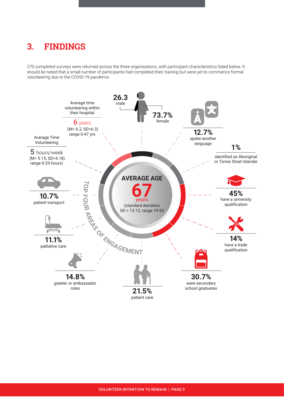# **3. FINDINGS**

270 completed surveys were returned across the three organisations, with participant characteristics listed below. It should be noted that a small number of participants had completed their training but were yet to commence formal volunteering due to the COVID-19 pandemic.

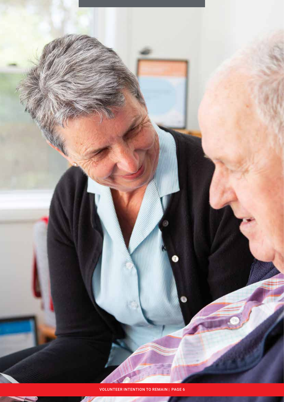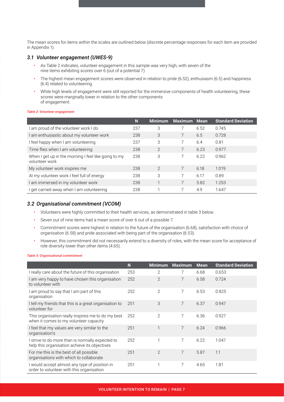The mean scores for items within the scales are outlined below (discrete percentage responses for each item are provided in Appendix 1).

#### *3.1 Volunteer engagement (UWES-9)*

- As Table 2 indicates, volunteer engagement in this sample was very high, with seven of the nine items exhibiting scores over 6 (out of a potential 7).
- The highest mean engagement scores were observed in relation to pride (6.52), enthusiasm (6.5) and happiness (6.4) related to volunteering.
- While high levels of engagement were still reported for the immersive components of health volunteering, these scores were marginally lower in relation to the other components of engagement.

#### *Table 2: Volunteer engagement*

|                                                                        | N   | <b>Minimum</b> | Maximum Mean |      | <b>Standard Deviation</b> |
|------------------------------------------------------------------------|-----|----------------|--------------|------|---------------------------|
| am proud of the volunteer work I do                                    | 237 | 3              |              | 6.52 | 0.745                     |
| I am enthusiastic about my volunteer work                              | 238 | 3              | 7            | 6.5  | 0.728                     |
| I feel happy when I am volunteering                                    | 237 | 3              | 7            | 6.4  | 0.81                      |
| Time flies when I am volunteering                                      | 238 | $\overline{2}$ | 7            | 6.23 | 0.977                     |
| When I get up in the morning I feel like going to my<br>volunteer work | 238 | 3              |              | 6.22 | 0.962                     |
| My volunteer work inspires me                                          | 238 | $\overline{2}$ | 7            | 6.18 | 1.019                     |
| At my volunteer work I feel full of energy                             | 238 | 3              | 7            | 6.17 | 0.89                      |
| I am immersed in my volunteer work                                     | 238 |                | 7            | 5.82 | 1.253                     |
| I get carried away when I am volunteering                              | 238 |                | 7            | 4.9  | 1.647                     |

#### *3.2 Organisational commitment (VCOM)*

- Volunteers were highly committed to their health services, as demonstrated in table 3 below.
- Seven out of nine items had a mean score of over 6 out of a possible 7.
- Commitment scores were highest in relation to the future of the organisation (6.68), satisfaction with choice of organisation (6.58) and pride associated with being part of the organisation (6.53).
- However, this commitment did not necessarily extend to a diversity of roles, with the mean score for acceptance of role diversity lower than other items (4.65).

#### *Table 3: Organisational commitment*

|                                                                                                   | N   | <b>Minimum</b> | <b>Maximum</b> | <b>Mean</b> | <b>Standard Deviation</b> |
|---------------------------------------------------------------------------------------------------|-----|----------------|----------------|-------------|---------------------------|
| I really care about the future of this organisation                                               | 253 | 2              | 7              | 6.68        | 0.653                     |
| I am very happy to have chosen this organisation<br>to volunteer with                             | 252 | $\overline{2}$ | 7              | 6.58        | 0.724                     |
| I am proud to say that I am part of this<br>organisation                                          | 252 | $\overline{2}$ | 7              | 6.53        | 0.825                     |
| I tell my friends that this is a great organisation to<br>volunteer for                           | 251 | 3              | 7              | 6.37        | 0.947                     |
| This organisation really inspires me to do my best<br>when it comes to my volunteer capacity      | 252 | $\overline{2}$ | 7              | 6.36        | 0.927                     |
| I feel that my values are very similar to the<br>organisation's                                   | 251 | $\mathbf{1}$   | 7              | 6.24        | 0.966                     |
| I strive to do more than is normally expected to<br>help this organisation achieve its objectives | 252 | 1              | 7              | 6.22        | 1.047                     |
| For me this is the best of all possible<br>organisations with which to collaborate                | 251 | $\overline{2}$ | 7              | 5.87        | 1.1                       |
| I would accept almost any type of position in<br>order to volunteer with this organisation        | 251 |                | 7              | 4.65        | 1.81                      |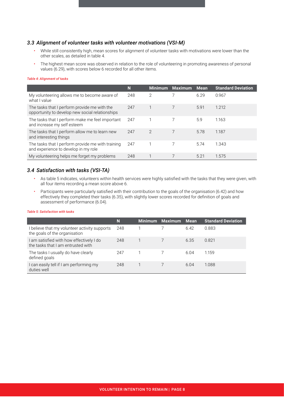#### *3.3 Alignment of volunteer tasks with volunteer motivations (VSI-M)*

- While still consistently high, mean scores for alignment of volunteer tasks with motivations were lower than the other scales, as detailed in table 4.
- The highest mean score was observed in relation to the role of volunteering in promoting awareness of personal values (6.29), with scores below 6 recorded for all other items.

#### **N Minimum Maximum Mean Standard Deviation**  My volunteering allows me to become aware of what I value 248 2 7 6.29 0.967 The tasks that I perform provide me with the opportunity to develop new social relationships 247 1 7 5.91 1.212 The tasks that I perform make me feel important and increase my self esteem 247 1 7 5.9 1.163 The tasks that I perform allow me to learn new and interesting things 247 2 7 5.78 1.187 The tasks that I perform provide me with training and experience to develop in my role 247 1 7 5.74 1.343 My volunteering helps me forget my problems  $248$  1 7 5.21 1.575

#### *Table 4: Alignment of tasks*

### *3.4 Satisfaction with tasks (VSI-TA)*

- As table 5 indicates, volunteers within health services were highly satisfied with the tasks that they were given, with all four items recording a mean score above 6.
- Participants were particularly satisfied with their contribution to the goals of the organisation (6.42) and how effectively they completed their tasks (6.35), with slightly lower scores recorded for definition of goals and assessment of performance (6.04).

#### *Table 5: Satisfaction with tasks*

|                                                                              | N   | Minimum | <b>Maximum</b> | <b>Mean</b> | <b>Standard Deviation</b> |
|------------------------------------------------------------------------------|-----|---------|----------------|-------------|---------------------------|
| believe that my volunteer activity supports<br>the goals of the organisation | 248 |         |                | 6.42        | 0.883                     |
| am satisfied with how effectively I do<br>the tasks that I am entrusted with | 248 |         |                | 6.35        | 0.821                     |
| The tasks I usually do have clearly<br>defined goals                         | 247 |         |                | 6.04        | 1159                      |
| I can easily tell if I am performing my<br>duties well                       | 248 |         |                | 6.04        | 1.088                     |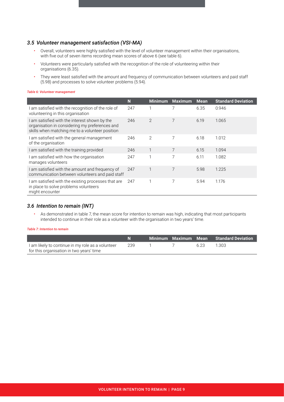### *3.5 Volunteer management satisfaction (VSI-MA)*

- Overall, volunteers were highly satisfied with the level of volunteer management within their organisations, with five out of seven items recording mean scores of above 6 (see table 6).
- Volunteers were particularly satisfied with the recognition of the role of volunteering within their organisations (6.35).
- They were least satisfied with the amount and frequency of communication between volunteers and paid staff (5.98) and processes to solve volunteer problems (5.94).

#### *Table 6: Volunteer management*

|                                                                                                                                                    | N   | <b>Minimum</b> | <b>Maximum</b> | <b>Mean</b> | <b>Standard Deviation</b> |
|----------------------------------------------------------------------------------------------------------------------------------------------------|-----|----------------|----------------|-------------|---------------------------|
| am satisfied with the recognition of the role of<br>volunteering in this organisation                                                              | 247 |                |                | 6.35        | 0.946                     |
| I am satisfied with the interest shown by the<br>organisation in considering my preferences and<br>skills when matching me to a volunteer position | 246 | $\overline{2}$ | 7              | 6.19        | 1.065                     |
| am satisfied with the general management<br>of the organisation                                                                                    | 246 | $\overline{2}$ | 7              | 6.18        | 1.012                     |
| I am satisfied with the training provided                                                                                                          | 246 | 1              | 7              | 6.15        | 1.094                     |
| I am satisfied with how the organisation<br>manages volunteers                                                                                     | 247 | 1              | 7              | 6.11        | 1.082                     |
| I am satisfied with the amount and frequency of<br>communication between volunteers and paid staff                                                 | 247 |                | 7              | 5.98        | 1.225                     |
| am satisfied with the existing processes that are<br>in place to solve problems volunteers<br>might encounter                                      | 247 |                | 7              | 5.94        | 1.176                     |

#### *3.6 Intention to remain (INT)*

• As demonstrated in table 7, the mean score for intention to remain was high, indicating that most participants intended to continue in their role as a volunteer with the organisation in two years' time.

#### *Table 7: Intention to remain*

|                                                   |     |  |      | Minimum Maximum Mean Standard Deviation |
|---------------------------------------------------|-----|--|------|-----------------------------------------|
| I am likely to continue in my role as a volunteer | 239 |  | 6.23 | 1.303                                   |
| for this organisation in two years' time          |     |  |      |                                         |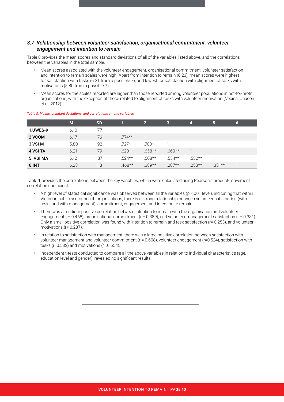### *3.7 Relationship between volunteer satisfaction, organisational commitment, volunteer engagement and intention to remain*

Table 8 provides the mean scores and standard deviations of all of the variables listed above, and the correlations between the variables in the total sample.

- Mean scores associated with the volunteer engagement, organisational commitment, volunteer satisfaction and intention to remain scales were high. Apart from intention to remain (6.23), mean scores were highest for satisfaction with tasks (6.21 from a possible 7), and lowest for satisfaction with alignment of tasks with motivations (5.80 from a possible 7).
- Mean scores for the scales reported are higher than those reported among volunteer populations in not-for-profit organisations, with the exception of those related to alignment of tasks with volunteer motivation (Vecina, Chacón et al. 2012).

|                 | M    | <b>SD</b> |          | $\overline{2}$ | 3        | 4        | 5        | 6 |
|-----------------|------|-----------|----------|----------------|----------|----------|----------|---|
| <b>1.UWES-9</b> | 6.10 | .77       |          |                |          |          |          |   |
| 2.VCOM          | 6.17 | .76       | $.774**$ | 1              |          |          |          |   |
| 3.VSI M         | 5.80 | .92       | $.727**$ | $.700**$       |          |          |          |   |
| 4.VSI TA        | 6.21 | .79       | $.620**$ | $.658**$       | $.660**$ |          |          |   |
| 5. VSI MA       | 6.12 | .87       | .524**   | $.608**$       | $.554**$ | $.532**$ |          |   |
| 6.INT           | 6.23 | 1.3       | $.468**$ | $.389**$       | $.287**$ | $.253**$ | $.331**$ | ┑ |

#### *Table 8: Means, standard deviations, and correlations among variables*

Table 1 provides the correlations between the key variables, which were calculated using Pearson's product-movement correlation coefficient.

- A high level of statistical significance was observed between all the variables (p <.001 level), indicating that within Victorian public sector health organisations, there is a strong relationship between volunteer satisfaction (with tasks and with management), commitment, engagement and intention to remain.
- There was a medium positive correlation between intention to remain with the organisation and volunteer engagement ( $r = 0.468$ ), organisational commitment ( $r = 0.389$ ), and volunteer management satisfaction ( $r = 0.331$ ). Only a small positive correlation was found with intention to remain and task satisfaction (r= 0.253), and volunteer motivations (r= 0.287).
- In relation to satisfaction with management, there was a large positive correlation between satisfaction with volunteer management and volunteer commitment (r = 0.608), volunteer engagement (r=0.524), satisfaction with tasks (r=0.532) and motivations (r=.0.554).
- Independent t-tests conducted to compare all the above variables in relation to individual characteristics (age, education level and gender), revealed no significant results.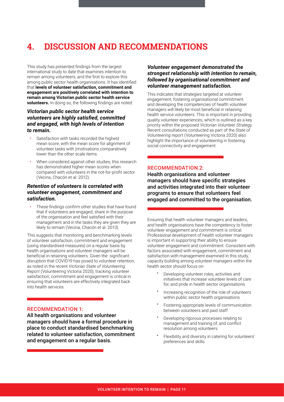# **4. DISCUSSION AND RECOMMENDATIONS**

This study has presented findings from the largest international study to date that examines intention to remain among volunteers, and the first to explore this among public sector health organisations. It has identified that **levels of volunteer satisfaction, commitment and engagement are positively correlated with intention to remain among Victorian public sector health service volunteers.** In doing so, the following findings are noted:

### *Victorian public sector health service volunteers are highly satisfied, committed and engaged, with high levels of intention to remain.*

- Satisfaction with tasks recorded the highest mean score, with the mean score for alignment of volunteer tasks with }motivations comparatively lower than the other scale items.
- When considered against other studies, this research has demonstrated higher mean scores when compared with volunteers in the not-for-profit sector (Vecina, Chacón et al. 2012).

### *Retention of volunteers is correlated with volunteer engagement, commitment and satisfaction.*

These findings confirm other studies that have found that if volunteers are engaged, share in the purpose of the organisation and feel satisfied with their management and in the tasks they are given they are likely to remain (Vecina, Chacón et al. 2013).

This suggests that monitoring and benchmarking levels of volunteer satisfaction, commitment and engagement (using standardised measures) on a regular basis by health organisations and volunteer managers will be beneficial in retaining volunteers. Given the significant disruption that COVID19 has posed to volunteer retention, as noted in the recent *Victorian State of Volunteering Report* (Volunteering Victoria 2020), tracking volunteer satisfaction, commitment and engagement is critical in ensuring that volunteers are effectively integrated back into health services.

#### RECOMMENDATION 1:

All health organisations and volunteer managers should have a formal procedure in place to conduct standardised benchmarking related to volunteer satisfaction, commitment and engagement on a regular basis.

### *Volunteer engagement demonstrated the strongest relationship with intention to remain, followed by organisational commitment and volunteer management satisfaction.*

This indicates that strategies targeted at volunteer engagement, fostering organisational commitment and developing the competencies of health volunteer managers will likely be most beneficial in retaining health service volunteers. This is important in providing quality volunteer experiences, which is outlined as a key priority within the proposed *Victorian Volunteer Strategy*. Recent consultations conducted as part of the *State of Volunteering* report (Volunteering Victoria 2020) also highlight the importance of volunteering in fostering social connectivity and engagement.

### RECOMMENDATION 2:

Health organisations and volunteer managers should have specific strategies and activities integrated into their volunteer programs to ensure that volunteers feel engaged and committed to the organisation.

Ensuring that health volunteer managers and leaders, and health organisations have the competency to foster volunteer engagement and commitment is critical. Professional development of health volunteer managers is important in supporting their ability to ensure volunteer engagement and commitment. Consistent with factors associated with engagement, commitment and satisfaction with management examined in this study, capacity building among volunteer managers within the health sector should focus on:

- ° Developing volunteer roles, activities and initiatives that increase volunteer levels of care for, and pride in health sector organisations
- Increasing recognition of the role of volunteers within public sector health organisations
- Fostering appropriate levels of communication between volunteers and paid staff
- ° Developing rigorous processes relating to management and training of, and conflict resolution among volunteers
- Flexibility and diversity in catering for volunteers' preferences and skills.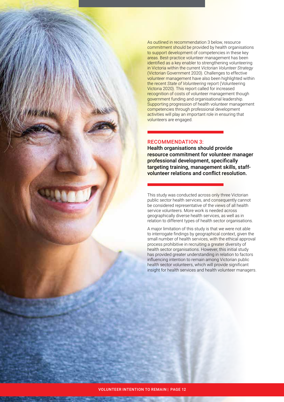As outlined in recommendation 3 below, resource commitment should be provided by health organisations to support development of competencies in these key areas. Best-practice volunteer management has been identified as a key enabler to strengthening volunteering in Victoria within the current *Victorian Volunteer Strategy* (Victorian Government 2020). Challenges to effective volunteer management have also been highlighted within the recent *State of Volunteering* report (Volunteering Victoria 2020). This report called for increased recognition of costs of volunteer management though government funding and organisational leadership. Supporting progression of health volunteer management competencies through professional development activities will play an important role in ensuring that volunteers are engaged.

#### RECOMMENDATION 3:

Health organisations should provide resource commitment for volunteer manager professional development, specifically targeting training, management skills, staffvolunteer relations and conflict resolution.

This study was conducted across only three Victorian public sector health services, and consequently cannot be considered representative of the views of all health service volunteers. More work is needed across geographically diverse health services, as well as in relation to different types of health sector organisations.

A major limitation of this study is that we were not able to interrogate findings by geographical context, given the small number of health services, with the ethical approval process prohibitive in recruiting a greater diversity of health sector organisations. However, this initial study has provided greater understanding in relation to factors influencing intention to remain among Victorian public health sector volunteers, which will provide significant insight for health services and health volunteer managers.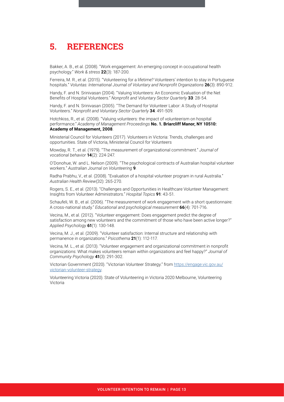# **5. REFERENCES**

Bakker, A. B., et al. (2008). "Work engagement: An emerging concept in occupational health psychology." *Work & stress* **22**(3): 187-200.

Ferreira, M. R., et al. (2015). "Volunteering for a lifetime? Volunteers' intention to stay in Portuguese hospitals." *Voluntas: International Journal of Voluntary and Nonprofit Organizations* **26**(3): 890-912.

Handy, F. and N. Srinivasan (2004). "Valuing Volunteers: An Economic Evaluation of the Net Benefits of Hospital Volunteers." *Nonprofit and Voluntary Sector Quarterly* **33**: 28-54.

Handy, F. and N. Srinivasan (2005). "The Demand for Volunteer Labor: A Study of Hospital Volunteers." *Nonprofit and Voluntary Sector Quarterly* **34**: 491-509.

Hotchkiss, R., et al. (2008). "Valuing volunteers: the impact of volunteerism on hospital performance." *Academy of Management Proceedings* **No. 1. Briarcliff Manor, NY 10510: Academy of Management, 2008**.

Ministerial Council for Volunteers (2017). Volunteers in Victoria: Trends, challenges and opportunities. State of Victoria, Ministerial Council for Volunteers

Mowday, R. T., et al. (1979). "The measurement of organizational commitment." *Journal of vocational behavior* **14**(2): 224-247.

O'Donohue, W. and L. Nelson (2009). "The psychological contracts of Australian hospital volunteer workers." *Australian Journal on Volunteering* **9**.

Radha Prabhu, V., et al. (2008). "Evaluation of a hospital volunteer program in rural Australia." *Australian Health Review*(32): 265-270.

Rogers, S. E., et al. (2013). "Challenges and Opportunities in Healthcare Volunteer Management: Insights from Volunteer Administrators." *Hospital Topics* **91**: 43-51.

Schaufeli, W. B., et al. (2006). "The measurement of work engagement with a short questionnaire: A cross-national study." *Educational and psychological measurement* **66**(4): 701-716.

Vecina, M., et al. (2012). "Volunteer engagement: Does engagement predict the degree of satisfaction among new volunteers and the commitment of those who have been active longer?" *Applied Psychology* **61**(1): 130-148.

Vecina, M. J., et al. (2009). "Volunteer satisfaction: Internal structure and relationship with permanence in organizations." *Psicothema* **21**(1): 112-117.

Vecina, M. L., et al. (2013). "Volunteer engagement and organizational commitment in nonprofit organizations: What makes volunteers remain within organizations and feel happy?" *Journal of Community Psychology* **41**(3): 291-302.

Victorian Government (2020). "Victorian Volunteer Strategy." from https://engage.vic.gov.au/ victorian-volunteer-strategy.

Volunteering Victoria (2020). State of Volunteering in Victoria 2020 Melbourne, Volunteering Victoria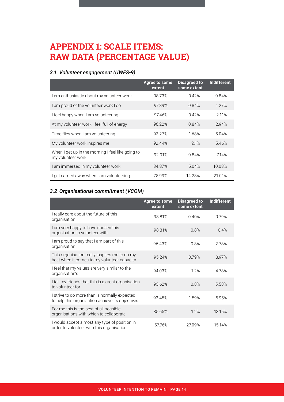# **APPENDIX 1: SCALE ITEMS: RAW DATA (PERCENTAGE VALUE)**

## *3.1 Volunteer engagement (UWES-9)*

|                                                                        | Agree to some<br>extent | <b>Disagreed to</b><br>some extent | <b>Indifferent</b> |
|------------------------------------------------------------------------|-------------------------|------------------------------------|--------------------|
| I am enthusiastic about my volunteer work                              | 98.73%                  | 0.42%                              | 0.84%              |
| I am proud of the volunteer work I do                                  | 97.89%                  | 0.84%                              | 1.27%              |
| I feel happy when I am volunteering                                    | 97.46%                  | 0.42%                              | 2.11%              |
| At my volunteer work I feel full of energy                             | 96.22%                  | 0.84%                              | 2.94%              |
| Time flies when I am volunteering                                      | 93.27%                  | 1.68%                              | 5.04%              |
| My volunteer work inspires me                                          | 92.44%                  | 2.1%                               | 5.46%              |
| When I get up in the morning I feel like going to<br>my volunteer work | 92.01%                  | 0.84%                              | 7.14%              |
| I am immersed in my volunteer work                                     | 84.87%                  | 5.04%                              | 10.08%             |
| I get carried away when I am volunteering                              | 78.99%                  | 14.28%                             | 21.01%             |

## *3.2 Organisational commitment (VCOM)*

|                                                                                                   | <b>Agree to some</b><br>extent | <b>Disagreed to</b><br>some extent | <b>Indifferent</b> |
|---------------------------------------------------------------------------------------------------|--------------------------------|------------------------------------|--------------------|
| I really care about the future of this<br>organisation                                            | 98.81%                         | 0.40%                              | 0.79%              |
| I am very happy to have chosen this<br>organisation to volunteer with                             | 98.81%                         | 0.8%                               | 0.4%               |
| I am proud to say that I am part of this<br>organisation                                          | 96.43%                         | 0.8%                               | 2.78%              |
| This organisation really inspires me to do my<br>best when it comes to my volunteer capacity      | 95.24%                         | 0.79%                              | 3.97%              |
| I feel that my values are very similar to the<br>organisation's                                   | 94.03%                         | 1.2%                               | 4.78%              |
| I tell my friends that this is a great organisation<br>to volunteer for                           | 93.62%                         | 0.8%                               | 5.58%              |
| I strive to do more than is normally expected<br>to help this organisation achieve its objectives | 92 45%                         | 1.59%                              | 5.95%              |
| For me this is the best of all possible<br>organisations with which to collaborate                | 85.65%                         | 1.2%                               | 13.15%             |
| I would accept almost any type of position in<br>order to volunteer with this organisation        | 57.76%                         | 27.09%                             | 15.14%             |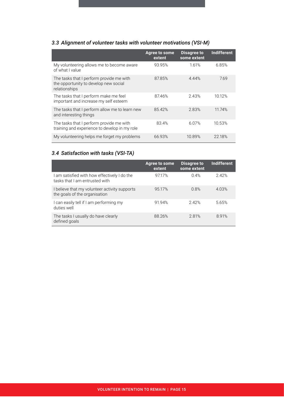## *3.3 Alignment of volunteer tasks with volunteer motivations (VSI-M)*

|                                                                                                    | <b>Agree to some</b><br>extent | <b>Disagree to</b><br>some extent | <b>Indifferent</b> |
|----------------------------------------------------------------------------------------------------|--------------------------------|-----------------------------------|--------------------|
| My volunteering allows me to become aware<br>of what I value                                       | 93.95%                         | 1.61%                             | 6.85%              |
| The tasks that I perform provide me with<br>the opportunity to develop new social<br>relationships | 87.85%                         | 4.44%                             | 7.69               |
| The tasks that I perform make me feel<br>important and increase my self esteem                     | 87.46%                         | 2.43%                             | 10.12%             |
| The tasks that I perform allow me to learn new<br>and interesting things                           | 85.42%                         | 2.83%                             | 11.74%             |
| The tasks that I perform provide me with<br>training and experience to develop in my role          | 83.4%                          | 6.07%                             | 10.53%             |
| My volunteering helps me forget my problems                                                        | 66.93%                         | 10.89%                            | 2218%              |

# *3.4 Satisfaction with tasks (VSI-TA)*

|                                                                                | Agree to some<br>extent | <b>Disagree to</b><br>some extent | <b>Indifferent</b> |
|--------------------------------------------------------------------------------|-------------------------|-----------------------------------|--------------------|
| I am satisfied with how effectively I do the<br>tasks that I am entrusted with | 9717%                   | 0.4%                              | 242%               |
| I believe that my volunteer activity supports<br>the goals of the organisation | 9517%                   | 0.8%                              | 4 0 3%             |
| I can easily tell if I am performing my<br>duties well                         | 91 94%                  | 242%                              | 5.65%              |
| The tasks I usually do have clearly<br>defined goals                           | 88.26%                  | 281%                              | 891%               |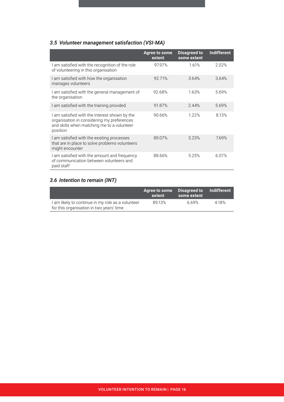## *3.5 Volunteer management satisfaction (VSI-MA)*

|                                                                                                                                                       | Agree to some<br>extent | <b>Disagreed to</b><br>some extent | <b>Indifferent</b> |
|-------------------------------------------------------------------------------------------------------------------------------------------------------|-------------------------|------------------------------------|--------------------|
| I am satisfied with the recognition of the role<br>of volunteering in this organisation                                                               | 97.97%                  | 1.61%                              | 2.02%              |
| I am satisfied with how the organisation<br>manages volunteers                                                                                        | 92.71%                  | 3.64%                              | 3.64%              |
| I am satisfied with the general management of<br>the organisation                                                                                     | 92.68%                  | 1.63%                              | 5.69%              |
| I am satisfied with the training provided                                                                                                             | 91.87%                  | 2.44%                              | 5.69%              |
| I am satisfied with the interest shown by the<br>organisation in considering my preferences<br>and skills when matching me to a volunteer<br>position | 90.66%                  | 1.22%                              | 8.13%              |
| I am satisfied with the existing processes<br>that are in place to solve problems volunteers<br>might encounter                                       | 89.07%                  | 3.23%                              | 7.69%              |
| I am satisfied with the amount and frequency<br>of communication between volunteers and<br>paid staff                                                 | 88.66%                  | 5.25%                              | 6.07%              |

## *3.6 Intention to remain (INT)*

|                                                                                               | Agree to some Disagreed to<br>extent | some extent | Indifferent |
|-----------------------------------------------------------------------------------------------|--------------------------------------|-------------|-------------|
| I am likely to continue in my role as a volunteer<br>for this organisation in two years' time | 8913%                                | 6 69%       | 418%        |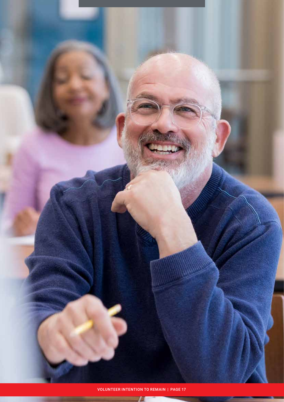